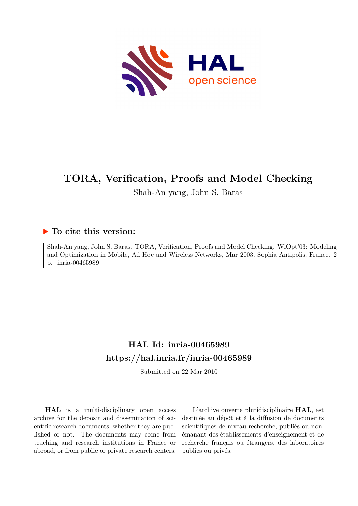

# **TORA, Verification, Proofs and Model Checking**

Shah-An yang, John S. Baras

### **To cite this version:**

Shah-An yang, John S. Baras. TORA, Verification, Proofs and Model Checking. WiOpt'03: Modeling and Optimization in Mobile, Ad Hoc and Wireless Networks, Mar 2003, Sophia Antipolis, France. 2 p. inria-00465989

## **HAL Id: inria-00465989 <https://hal.inria.fr/inria-00465989>**

Submitted on 22 Mar 2010

**HAL** is a multi-disciplinary open access archive for the deposit and dissemination of scientific research documents, whether they are published or not. The documents may come from teaching and research institutions in France or abroad, or from public or private research centers.

L'archive ouverte pluridisciplinaire **HAL**, est destinée au dépôt et à la diffusion de documents scientifiques de niveau recherche, publiés ou non, émanant des établissements d'enseignement et de recherche français ou étrangers, des laboratoires publics ou privés.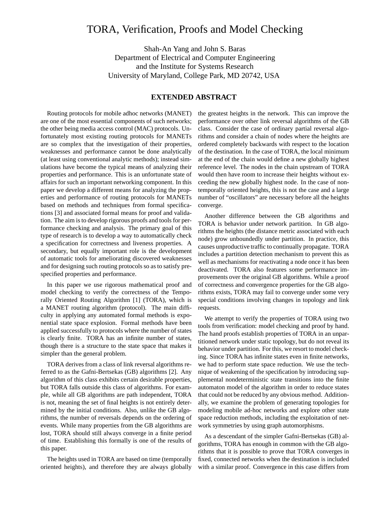### TORA, Verification, Proofs and Model Checking

Shah-An Yang and John S. Baras Department of Electrical and Computer Engineering and the Institute for Systems Research University of Maryland, College Park, MD 20742, USA

#### **EXTENDED ABSTRACT**

Routing protocols for mobile adhoc networks (MANET) are one of the most essential components of such networks; the other being media access control (MAC) protocols. Unfortunately most existing routing protocols for MANETs are so complex that the investigation of their properties, weaknesses and performance cannot be done analytically (at least using conventional analytic methods); instead simulations have become the typical means of analyzing their properties and performance. This is an unfortunate state of affairs for such an important networking component. In this paper we develop a different means for analyzing the properties and performance of routing protocols for MANETs based on methods and techniques from formal specifications [3] and associated formal means for proof and validation. The aim isto develop rigorous proofs and tools for performance checking and analysis. The primary goal of this type of research is to develop a way to automatically check a specification for correctness and liveness properties. A secondary, but equally important role is the development of automatic tools for ameliorating discovered weaknesses and for designing such routing protocols so as to satisfy prespecified properties and performance.

In this paper we use rigorous mathematical proof and model checking to verify the correctness of the Temporally Oriented Routing Algorithm [1] (TORA), which is a MANET routing algorithm (protocol). The main difficulty in applying any automated formal methods is exponential state space explosion. Formal methods have been applied successfully to protocols where the number of states is clearly finite. TORA has an infinite number of states, though there is a structure to the state space that makes it simpler than the general problem.

TORA derives from a class of link reversal algorithms referred to as the Gafni-Bertsekas (GB) algorithms [2]. Any algorithm of this class exhibits certain desirable properties, but TORA falls outside this class of algorithms. For example, while all GB algorithms are path independent, TORA is not, meaning the set of final heights is not entirely determined by the initial conditions. Also, unlike the GB algorithms, the number of reversals depends on the ordering of events. While many properties from the GB algorithms are lost, TORA should still always converge in a finite period of time. Establishing this formally is one of the results of this paper.

The heights used in TORA are based on time (temporally oriented heights), and therefore they are always globally the greatest heights in the network. This can improve the performance over other link reversal algorithms of the GB class. Consider the case of ordinary partial reversal algorithms and consider a chain of nodes where the heights are ordered completely backwards with respect to the location of the destination. In the case of TORA, the local minimum at the end of the chain would define a new globally highest reference level. The nodes in the chain upstream of TORA would then have room to increase their heights without exceeding the new globally highest node. In the case of nontemporally oriented heights, this is not the case and a large number of "oscillators" are necessary before all the heights converge.

Another difference between the GB algorithms and TORA is behavior under network partition. In GB algorithms the heights (the distance metric associated with each node) grow unboundedly under partition. In practice, this causes unproductive traffic to continually propagate. TORA includes a partition detection mechanism to prevent this as well as mechanisms for reactivating a node once it has been deactivated. TORA also features some performance improvements over the original GB algorithms. While a proof of correctness and convergence properties for the GB algorithms exists, TORA may fail to converge under some very special conditions involving changes in topology and link requests.

We attempt to verify the properties of TORA using two tools from verification: model checking and proof by hand. The hand proofs establish properties of TORA in an unpartitioned network under static topology, but do not reveal its behavior under partition. For this, we resort to model checking. Since TORA has infinite states even in finite networks, we had to perform state space reduction. We use the technique of weakening of the specification by introducing supplemental nondeterministic state transitions into the finite automaton model of the algorithm in order to reduce states that could not be reduced by any obvious method. Additionally, we examine the problem of generating topologies for modeling mobile ad-hoc networks and explore other state space reduction methods, including the exploitation of network symmetries by using graph automorphisms.

As a descendant of the simpler Gafni-Bertsekas (GB) algorithms, TORA has enough in common with the GB algorithms that it is possible to prove that TORA converges in fixed, connected networks when the destination is included with a similar proof. Convergence in this case differs from